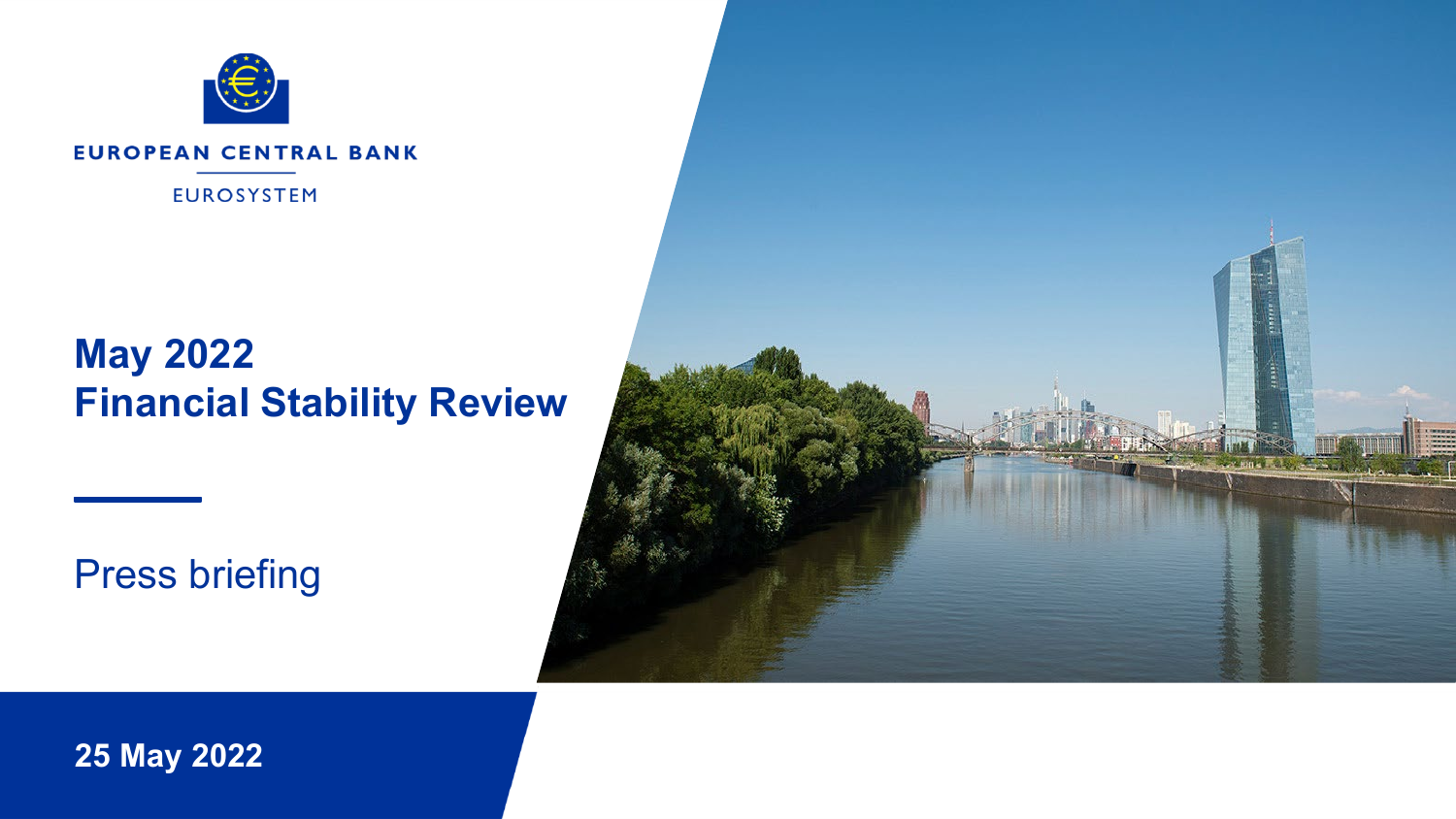

#### **EUROPEAN CENTRAL BANK**

**EUROSYSTEM** 

# **May 2022 Financial Stability Review**

Press briefing



**25 May 2022**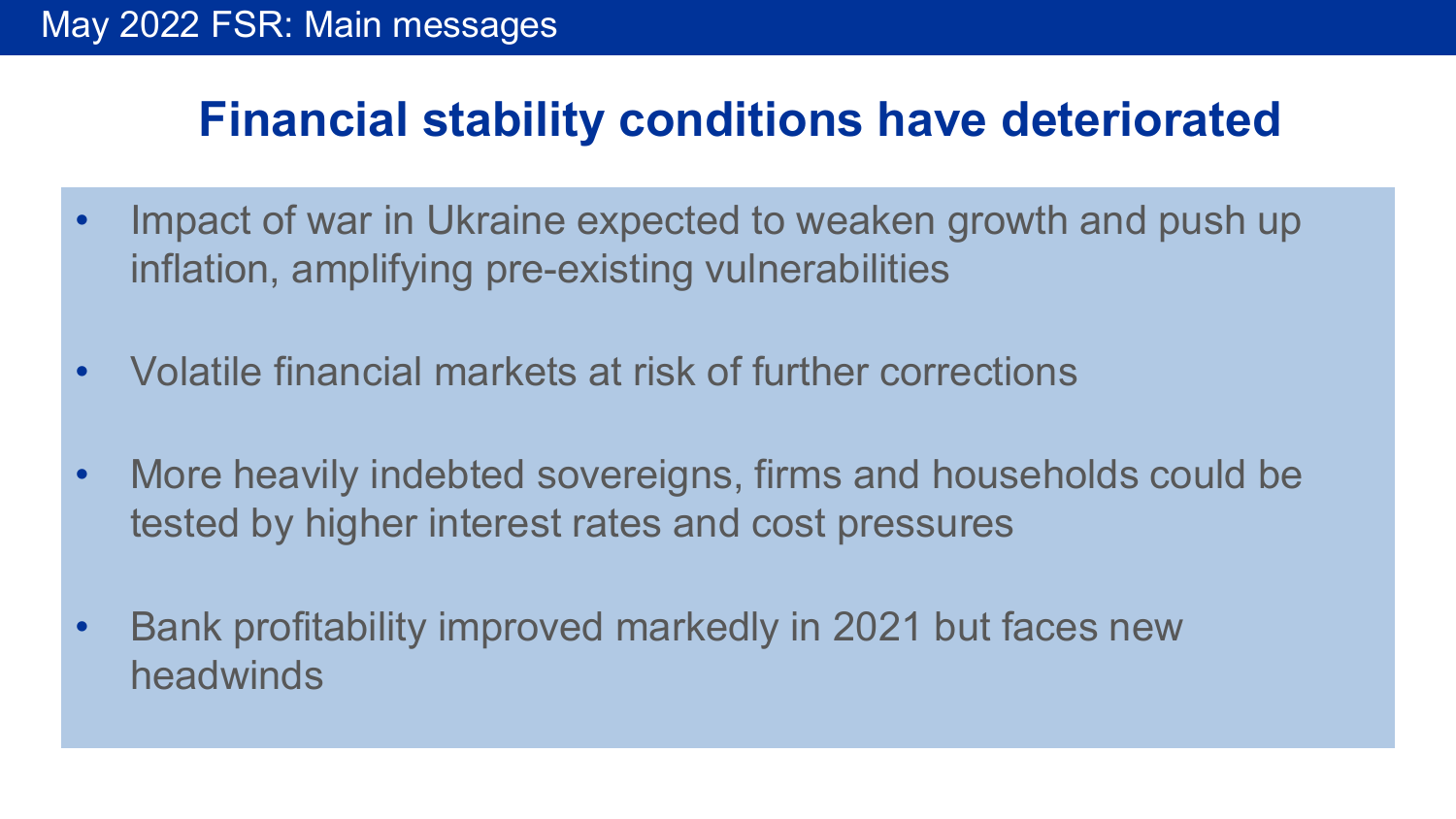# **Financial stability conditions have deteriorated**

- Impact of war in Ukraine expected to weaken growth and push up inflation, amplifying pre-existing vulnerabilities
- Volatile financial markets at risk of further corrections
- More heavily indebted sovereigns, firms and households could be tested by higher interest rates and cost pressures
- Bank profitability improved markedly in 2021 but faces new headwinds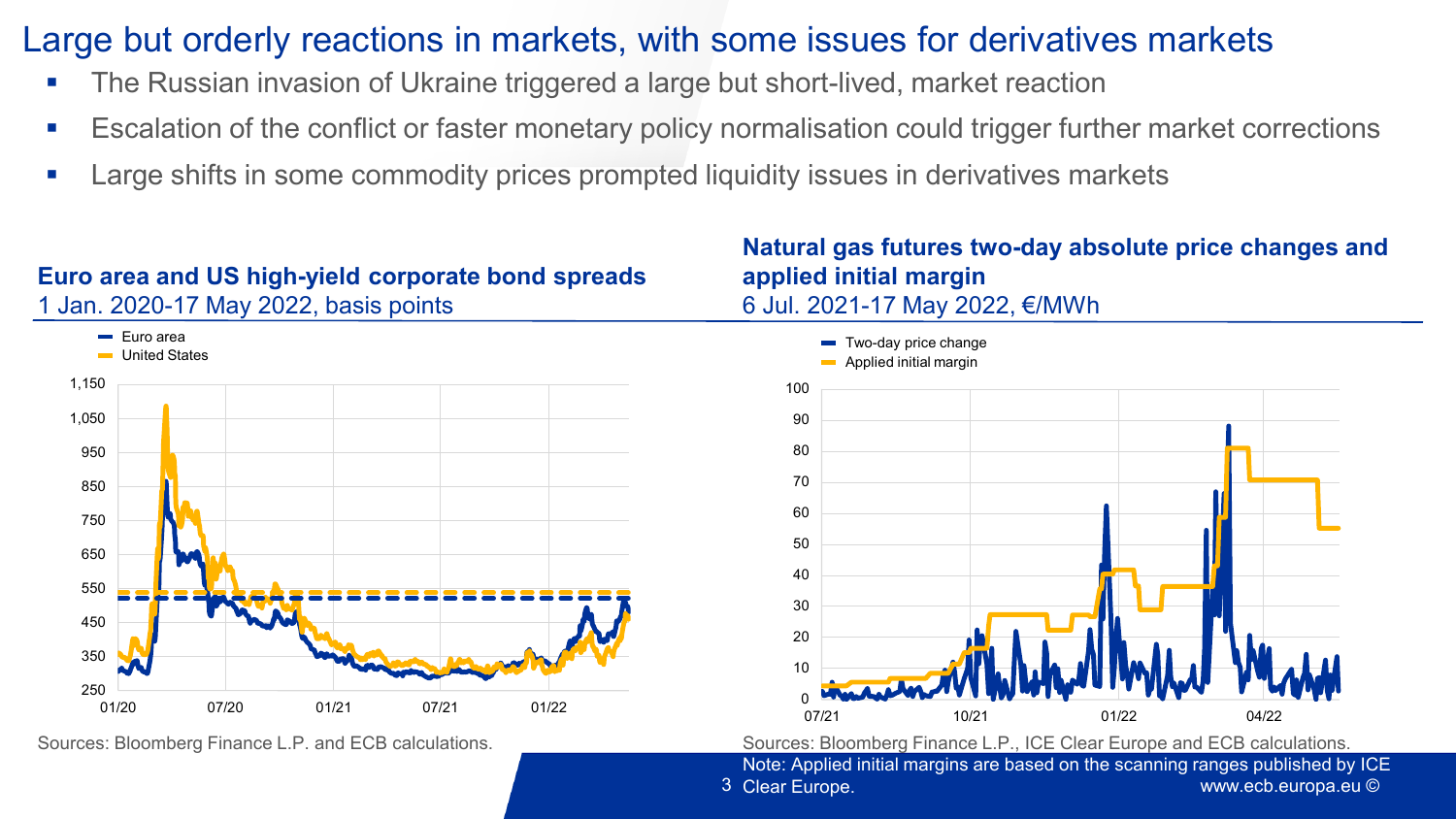# Large but orderly reactions in markets, with some issues for derivatives markets

- The Russian invasion of Ukraine triggered a large but short-lived, market reaction
- Escalation of the conflict or faster monetary policy normalisation could trigger further market corrections
- **EXTERNITHS 2018 Large shifts in some commodity prices prompted liquidity issues in derivatives markets**

### **Euro area and US high-yield corporate bond spreads**  1 Jan. 2020-17 May 2022, basis points

### 250 350 450 550 650 750 850 950 1,050 1,150 01/20 07/20 01/21 07/21 01/22 **Euro** area **United States**

### **Natural gas futures two-day absolute price changes and applied initial margin** 6 Jul. 2021-17 May 2022, €/MWh



Sources: Bloomberg Finance L.P. and ECB calculations. Sources: Bloomberg Finance L.P., ICE Clear Europe and ECB calculations.

www.ecb.europa.eu © 3 Clear Europe. Note: Applied initial margins are based on the scanning ranges published by ICE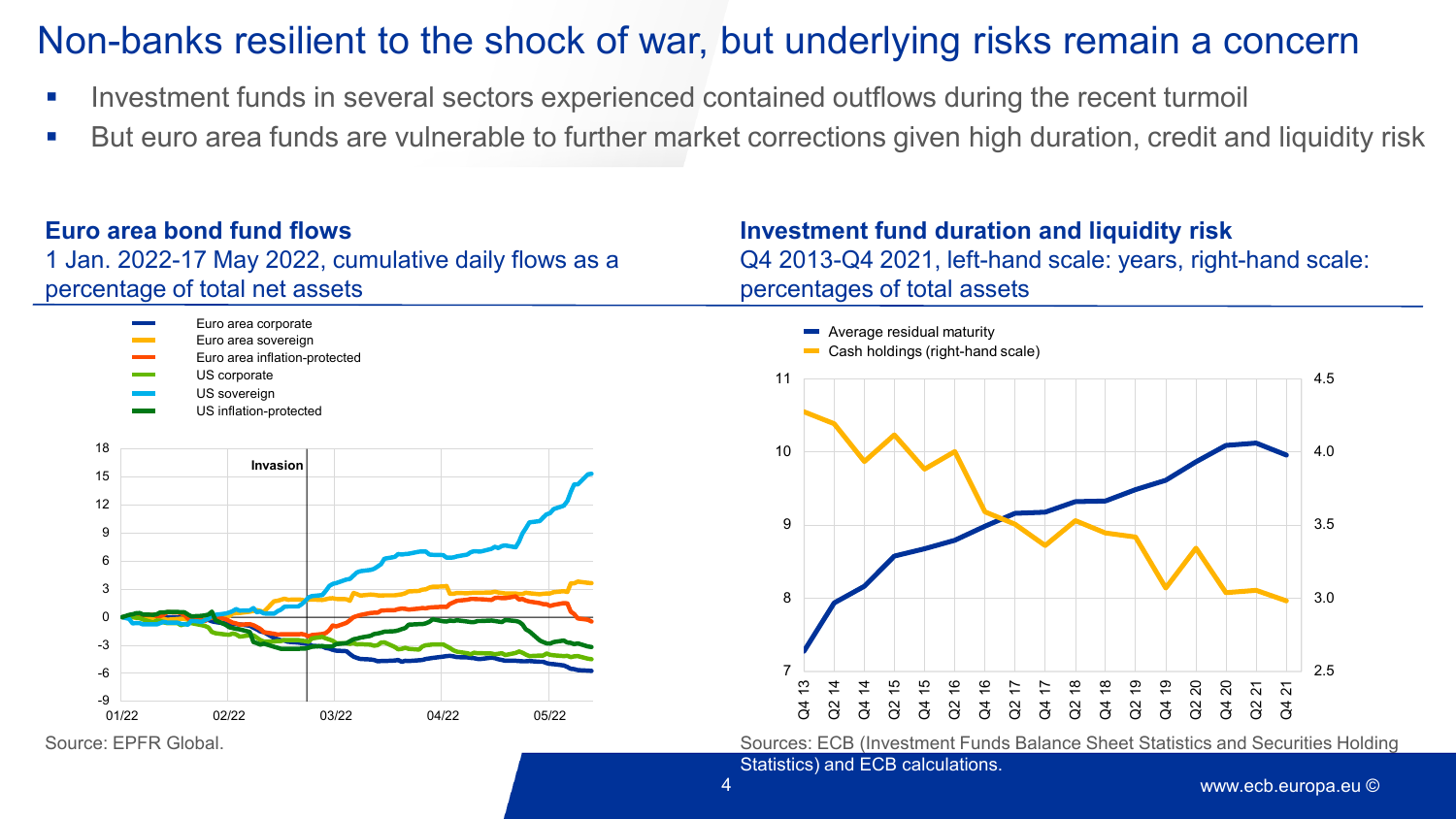# Non-banks resilient to the shock of war, but underlying risks remain a concern

- **Investment funds in several sectors experienced contained outflows during the recent turmoil**
- But euro area funds are vulnerable to further market corrections given high duration, credit and liquidity risk

4

### **Euro area bond fund flows**

1 Jan. 2022-17 May 2022, cumulative daily flows as a percentage of total net assets

### **Investment fund duration and liquidity risk** Q4 2013-Q4 2021, left-hand scale: years, right-hand scale: percentages of total assets





Source: EPFR Global. Sources: ECB (Investment Funds Balance Sheet Statistics and Securities Holding

Statistics) and ECB calculations.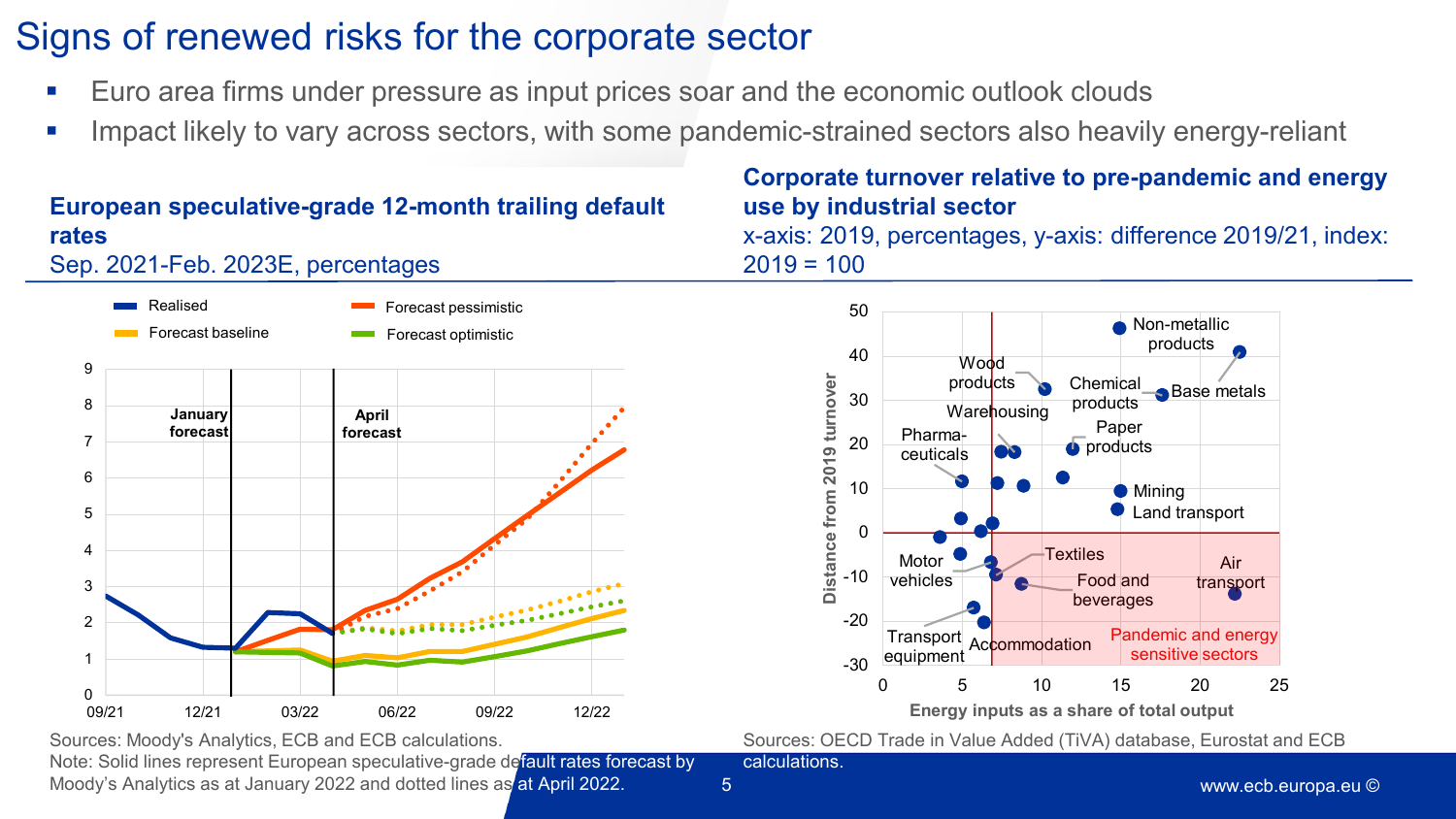# Signs of renewed risks for the corporate sector

- Euro area firms under pressure as input prices soar and the economic outlook clouds
- **IMPACT Likely to vary across sectors, with some pandemic-strained sectors also heavily energy-reliant**

#### Sep. 2021-Feb. 2023E, percentages 0 1 2 3 4 5 6 7 8 9 09/21 12/21 03/22 06/22 09/22 12/22 Forecast baseline Forecast pessimistic Forecast optimistic Realised **January forecast April forecast**

**European speculative-grade 12-month trailing default** 

**rates**

## **Corporate turnover relative to pre-pandemic and energy use by industrial sector**

x-axis: 2019, percentages, y-axis: difference 2019/21, index:  $2019 = 100$ 



Sources: OECD Trade in Value Added (TiVA) database, Eurostat and ECB calculations.

Sources: Moody's Analytics, ECB and ECB calculations.

Note: Solid lines represent European speculative-grade default rates forecast by Moody's Analytics as at January 2022 and dotted lines as at April 2022.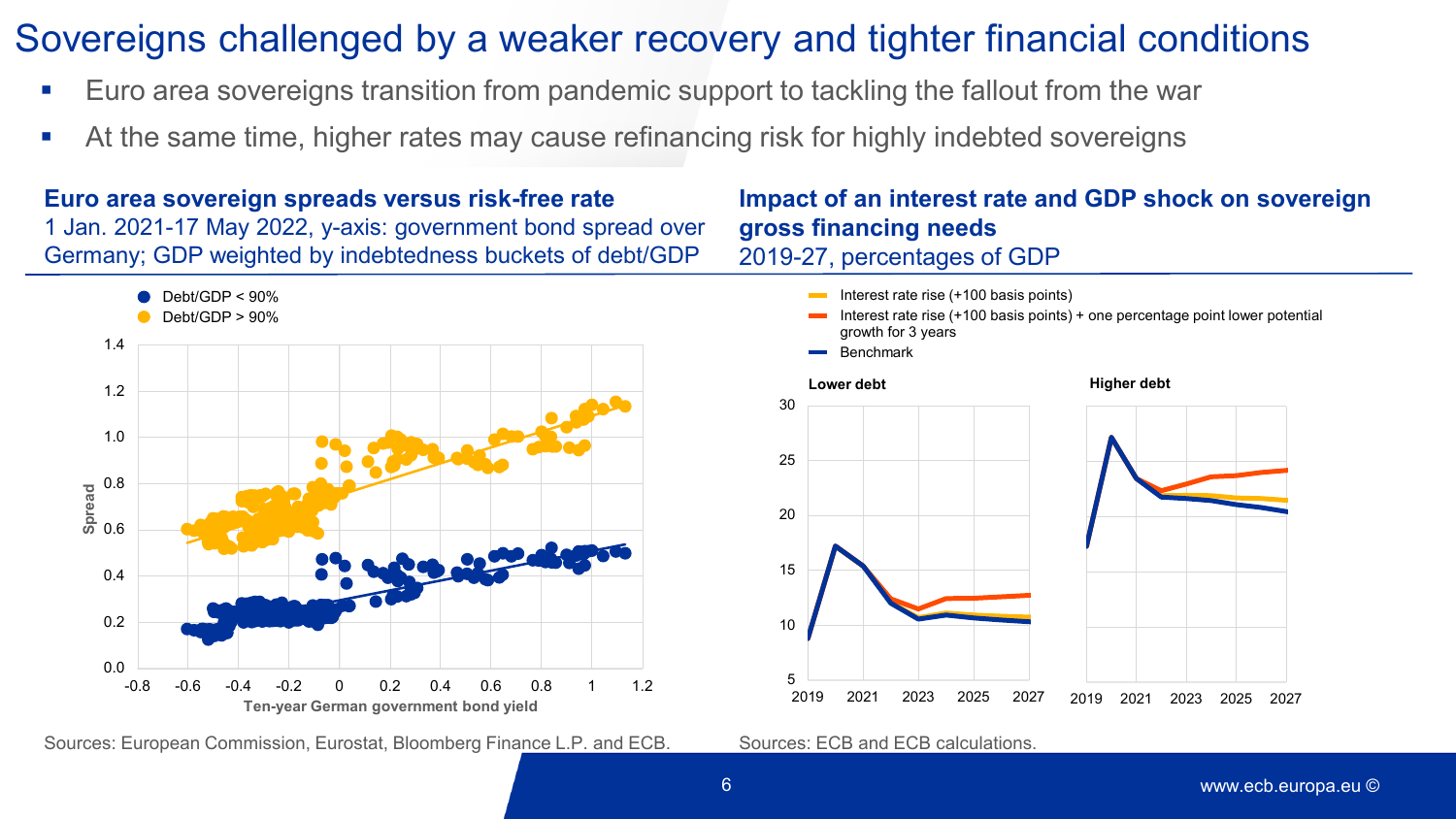# Sovereigns challenged by a weaker recovery and tighter financial conditions

- Euro area sovereigns transition from pandemic support to tackling the fallout from the war
- At the same time, higher rates may cause refinancing risk for highly indebted sovereigns

**Euro area sovereign spreads versus risk-free rate** 1 Jan. 2021-17 May 2022, y-axis: government bond spread over Germany; GDP weighted by indebtedness buckets of debt/GDP



Sources: European Commission, Eurostat, Bloomberg Finance L.P. and ECB. Sources: ECB and ECB calculations.

### **Impact of an interest rate and GDP shock on sovereign gross financing needs** 2019-27, percentages of GDP

Interest rate rise (+100 basis points) + one percentage point lower potential

Interest rate rise (+100 basis points)

growth for 3 years

5 10 15 20 25 30 2019 2021 2023 2025 2027 Benchmark **Lower debt** 2019 2021 2023 2025 2027 **Higher debt**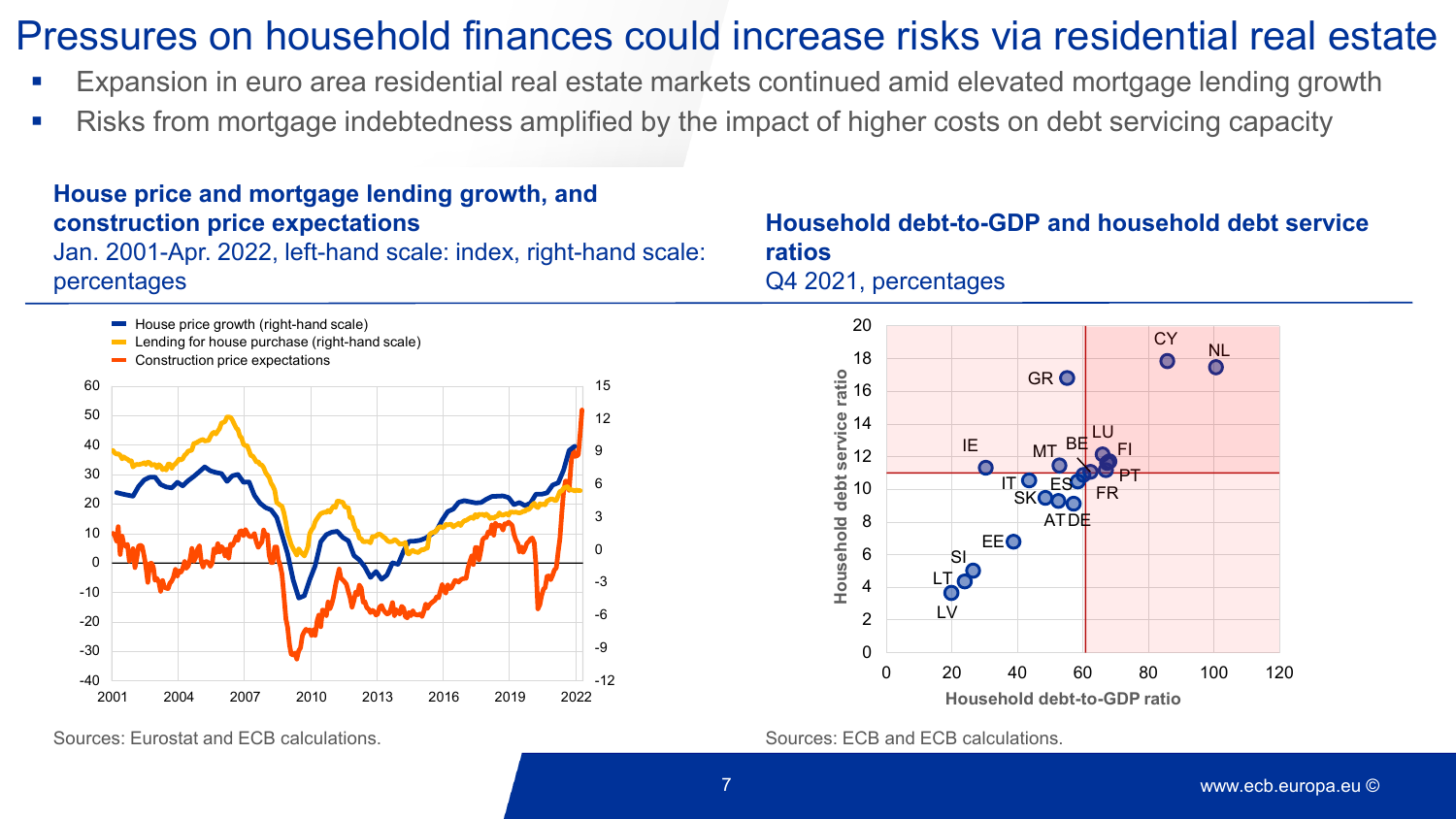# Pressures on household finances could increase risks via residential real estate

- Expansion in euro area residential real estate markets continued amid elevated mortgage lending growth
- Risks from mortgage indebtedness amplified by the impact of higher costs on debt servicing capacity

#### Jan. 2001-Apr. 2022, left-hand scale: index, right-hand scale: percentages  $-12$ -9 -6 -3  $\Omega$ 3 6 9 12 15  $-40$   $-2001$ -30 -20 -10  $\Omega$ 10 20 30 40 50 60 2001 2004 2007 2010 2013 2016 2019 2022 House price growth (right-hand scale) Lending for house purchase (right-hand scale) Construction price expectations

**House price and mortgage lending growth, and** 

**construction price expectations**

Sources: Eurostat and ECB calculations. Sources: ECB and ECB calculations.

### **Household debt-to-GDP and household debt service ratios** Q4 2021, percentages

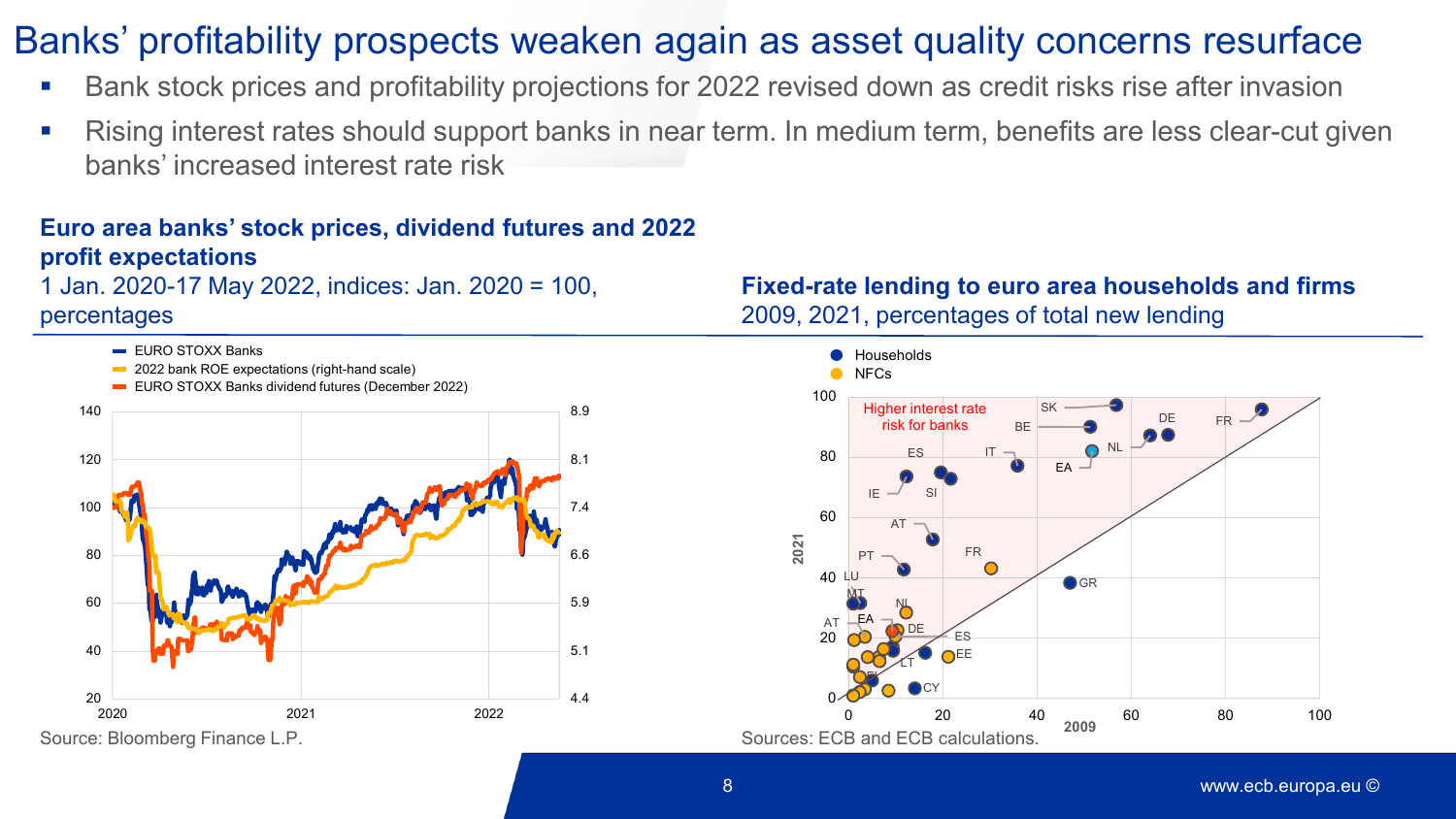# Banks' profitability prospects weaken again as asset quality concerns resurface

- Bank stock prices and profitability projections for 2022 revised down as credit risks rise after invasion
- Rising interest rates should support banks in near term. In medium term, benefits are less clear-cut given banks' increased interest rate risk

### **Euro area banks' stock prices, dividend futures and 2022 profit expectations**

1 Jan. 2020-17 May 2022, indices: Jan. 2020 = 100, percentages



**Fixed-rate lending to euro area households and firms** 2009, 2021, percentages of total new lending